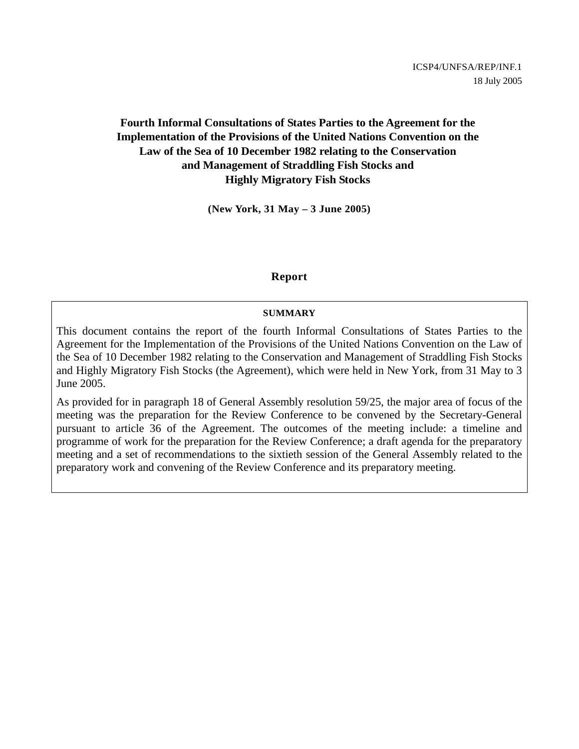## **Fourth Informal Consultations of States Parties to the Agreement for the Implementation of the Provisions of the United Nations Convention on the Law of the Sea of 10 December 1982 relating to the Conservation and Management of Straddling Fish Stocks and Highly Migratory Fish Stocks**

**(New York, 31 May – 3 June 2005)** 

### **Report**

#### **SUMMARY**

This document contains the report of the fourth Informal Consultations of States Parties to the Agreement for the Implementation of the Provisions of the United Nations Convention on the Law of the Sea of 10 December 1982 relating to the Conservation and Management of Straddling Fish Stocks and Highly Migratory Fish Stocks (the Agreement), which were held in New York, from 31 May to 3 June 2005.

As provided for in paragraph 18 of General Assembly resolution 59/25, the major area of focus of the meeting was the preparation for the Review Conference to be convened by the Secretary-General pursuant to article 36 of the Agreement. The outcomes of the meeting include: a timeline and programme of work for the preparation for the Review Conference; a draft agenda for the preparatory meeting and a set of recommendations to the sixtieth session of the General Assembly related to the preparatory work and convening of the Review Conference and its preparatory meeting.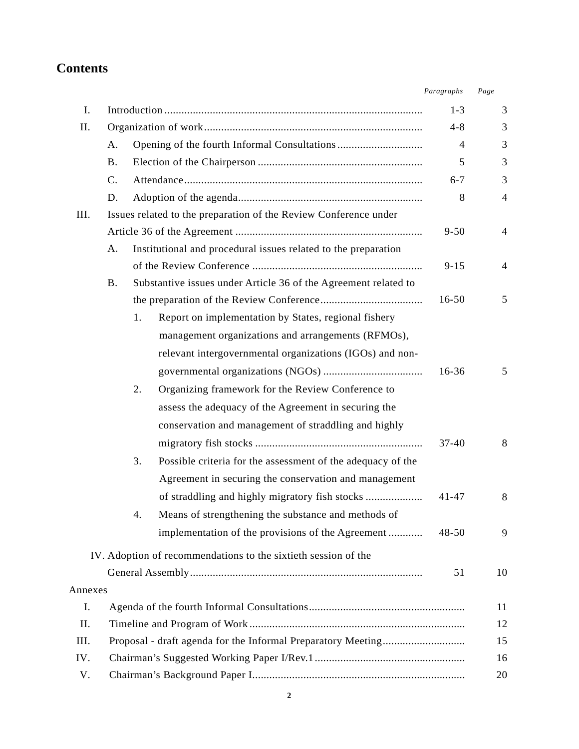# **Contents**

| I.      |                 |    |                                                                  | $1 - 3$        | 3              |
|---------|-----------------|----|------------------------------------------------------------------|----------------|----------------|
| П.      |                 |    |                                                                  | $4 - 8$        | 3              |
|         | А.              |    |                                                                  | $\overline{4}$ | 3              |
|         | <b>B.</b>       |    |                                                                  | 5              | 3              |
|         | $\mathcal{C}$ . |    |                                                                  | $6 - 7$        | 3              |
|         | D.              |    |                                                                  | 8              | $\overline{4}$ |
| III.    |                 |    | Issues related to the preparation of the Review Conference under |                |                |
|         |                 |    |                                                                  | $9 - 50$       | 4              |
|         | А.              |    | Institutional and procedural issues related to the preparation   |                |                |
|         |                 |    |                                                                  | $9 - 15$       | 4              |
|         | <b>B.</b>       |    | Substantive issues under Article 36 of the Agreement related to  |                |                |
|         |                 |    |                                                                  | $16 - 50$      | 5              |
|         |                 | 1. | Report on implementation by States, regional fishery             |                |                |
|         |                 |    | management organizations and arrangements (RFMOs),               |                |                |
|         |                 |    | relevant intergovernmental organizations (IGOs) and non-         |                |                |
|         |                 |    |                                                                  | 16-36          | 5              |
|         |                 | 2. | Organizing framework for the Review Conference to                |                |                |
|         |                 |    | assess the adequacy of the Agreement in securing the             |                |                |
|         |                 |    | conservation and management of straddling and highly             |                |                |
|         |                 |    |                                                                  | $37 - 40$      | 8              |
|         |                 | 3. | Possible criteria for the assessment of the adequacy of the      |                |                |
|         |                 |    | Agreement in securing the conservation and management            |                |                |
|         |                 |    |                                                                  | $41 - 47$      | 8              |
|         |                 | 4. | Means of strengthening the substance and methods of              |                |                |
|         |                 |    |                                                                  | $48 - 50$      | 9              |
|         |                 |    | implementation of the provisions of the Agreement                |                |                |
|         |                 |    | IV. Adoption of recommendations to the sixtieth session of the   |                |                |
|         |                 |    |                                                                  | 51             | 10             |
| Annexes |                 |    |                                                                  |                |                |
| I.      |                 |    |                                                                  |                | 11             |
| II.     |                 |    |                                                                  |                | 12             |
| III.    |                 |    |                                                                  |                | 15             |
| IV.     |                 |    |                                                                  |                | 16             |
| V.      |                 |    |                                                                  |                | 20             |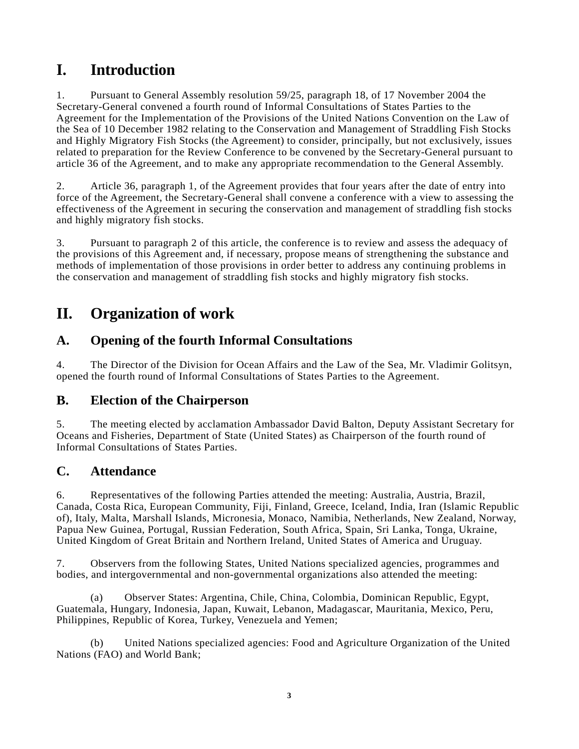# **I. Introduction**

1. Pursuant to General Assembly resolution 59/25, paragraph 18, of 17 November 2004 the Secretary-General convened a fourth round of Informal Consultations of States Parties to the Agreement for the Implementation of the Provisions of the United Nations Convention on the Law of the Sea of 10 December 1982 relating to the Conservation and Management of Straddling Fish Stocks and Highly Migratory Fish Stocks (the Agreement) to consider, principally, but not exclusively, issues related to preparation for the Review Conference to be convened by the Secretary-General pursuant to article 36 of the Agreement, and to make any appropriate recommendation to the General Assembly.

2. Article 36, paragraph 1, of the Agreement provides that four years after the date of entry into force of the Agreement, the Secretary-General shall convene a conference with a view to assessing the effectiveness of the Agreement in securing the conservation and management of straddling fish stocks and highly migratory fish stocks.

3. Pursuant to paragraph 2 of this article, the conference is to review and assess the adequacy of the provisions of this Agreement and, if necessary, propose means of strengthening the substance and methods of implementation of those provisions in order better to address any continuing problems in the conservation and management of straddling fish stocks and highly migratory fish stocks.

# **II. Organization of work**

# **A. Opening of the fourth Informal Consultations**

4. The Director of the Division for Ocean Affairs and the Law of the Sea, Mr. Vladimir Golitsyn, opened the fourth round of Informal Consultations of States Parties to the Agreement.

# **B. Election of the Chairperson**

5. The meeting elected by acclamation Ambassador David Balton, Deputy Assistant Secretary for Oceans and Fisheries, Department of State (United States) as Chairperson of the fourth round of Informal Consultations of States Parties.

# **C. Attendance**

6. Representatives of the following Parties attended the meeting: Australia, Austria, Brazil, Canada, Costa Rica, European Community, Fiji, Finland, Greece, Iceland, India, Iran (Islamic Republic of), Italy, Malta, Marshall Islands, Micronesia, Monaco, Namibia, Netherlands, New Zealand, Norway, Papua New Guinea, Portugal, Russian Federation, South Africa, Spain, Sri Lanka, Tonga, Ukraine, United Kingdom of Great Britain and Northern Ireland, United States of America and Uruguay.

7. Observers from the following States, United Nations specialized agencies, programmes and bodies, and intergovernmental and non-governmental organizations also attended the meeting:

(a) Observer States: Argentina, Chile, China, Colombia, Dominican Republic, Egypt, Guatemala, Hungary, Indonesia, Japan, Kuwait, Lebanon, Madagascar, Mauritania, Mexico, Peru, Philippines, Republic of Korea, Turkey, Venezuela and Yemen;

(b) United Nations specialized agencies: Food and Agriculture Organization of the United Nations (FAO) and World Bank;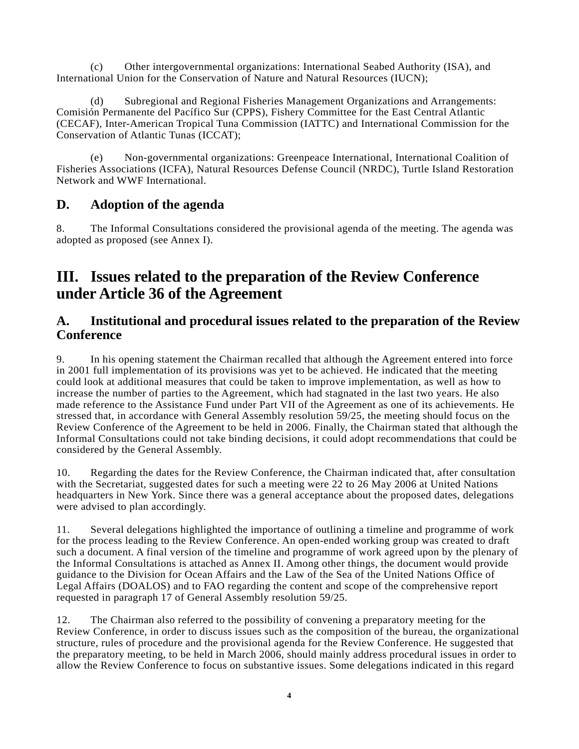(c) Other intergovernmental organizations: International Seabed Authority (ISA), and International Union for the Conservation of Nature and Natural Resources (IUCN);

(d) Subregional and Regional Fisheries Management Organizations and Arrangements: Comisión Permanente del Pacífico Sur (CPPS), Fishery Committee for the East Central Atlantic (CECAF), Inter-American Tropical Tuna Commission (IATTC) and International Commission for the Conservation of Atlantic Tunas (ICCAT);

(e) Non-governmental organizations: Greenpeace International, International Coalition of Fisheries Associations (ICFA), Natural Resources Defense Council (NRDC), Turtle Island Restoration Network and WWF International.

# **D. Adoption of the agenda**

8. The Informal Consultations considered the provisional agenda of the meeting. The agenda was adopted as proposed (see Annex I).

# **III. Issues related to the preparation of the Review Conference under Article 36 of the Agreement**

# **A. Institutional and procedural issues related to the preparation of the Review Conference**

9. In his opening statement the Chairman recalled that although the Agreement entered into force in 2001 full implementation of its provisions was yet to be achieved. He indicated that the meeting could look at additional measures that could be taken to improve implementation, as well as how to increase the number of parties to the Agreement, which had stagnated in the last two years. He also made reference to the Assistance Fund under Part VII of the Agreement as one of its achievements. He stressed that, in accordance with General Assembly resolution 59/25, the meeting should focus on the Review Conference of the Agreement to be held in 2006. Finally, the Chairman stated that although the Informal Consultations could not take binding decisions, it could adopt recommendations that could be considered by the General Assembly.

10. Regarding the dates for the Review Conference, the Chairman indicated that, after consultation with the Secretariat, suggested dates for such a meeting were 22 to 26 May 2006 at United Nations headquarters in New York. Since there was a general acceptance about the proposed dates, delegations were advised to plan accordingly.

11. Several delegations highlighted the importance of outlining a timeline and programme of work for the process leading to the Review Conference. An open-ended working group was created to draft such a document. A final version of the timeline and programme of work agreed upon by the plenary of the Informal Consultations is attached as Annex II. Among other things, the document would provide guidance to the Division for Ocean Affairs and the Law of the Sea of the United Nations Office of Legal Affairs (DOALOS) and to FAO regarding the content and scope of the comprehensive report requested in paragraph 17 of General Assembly resolution 59/25.

12. The Chairman also referred to the possibility of convening a preparatory meeting for the Review Conference, in order to discuss issues such as the composition of the bureau, the organizational structure, rules of procedure and the provisional agenda for the Review Conference. He suggested that the preparatory meeting, to be held in March 2006, should mainly address procedural issues in order to allow the Review Conference to focus on substantive issues. Some delegations indicated in this regard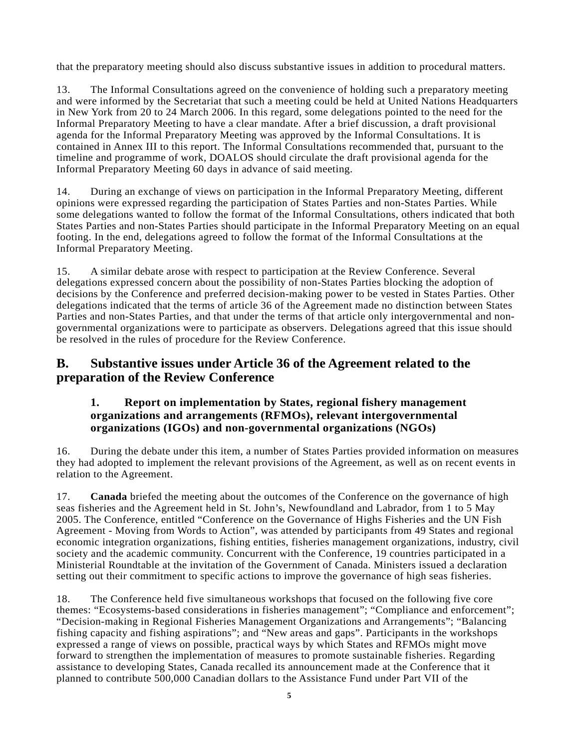that the preparatory meeting should also discuss substantive issues in addition to procedural matters.

13. The Informal Consultations agreed on the convenience of holding such a preparatory meeting and were informed by the Secretariat that such a meeting could be held at United Nations Headquarters in New York from 20 to 24 March 2006. In this regard, some delegations pointed to the need for the Informal Preparatory Meeting to have a clear mandate. After a brief discussion, a draft provisional agenda for the Informal Preparatory Meeting was approved by the Informal Consultations. It is contained in Annex III to this report. The Informal Consultations recommended that, pursuant to the timeline and programme of work, DOALOS should circulate the draft provisional agenda for the Informal Preparatory Meeting 60 days in advance of said meeting.

14. During an exchange of views on participation in the Informal Preparatory Meeting, different opinions were expressed regarding the participation of States Parties and non-States Parties. While some delegations wanted to follow the format of the Informal Consultations, others indicated that both States Parties and non-States Parties should participate in the Informal Preparatory Meeting on an equal footing. In the end, delegations agreed to follow the format of the Informal Consultations at the Informal Preparatory Meeting.

15. A similar debate arose with respect to participation at the Review Conference. Several delegations expressed concern about the possibility of non-States Parties blocking the adoption of decisions by the Conference and preferred decision-making power to be vested in States Parties. Other delegations indicated that the terms of article 36 of the Agreement made no distinction between States Parties and non-States Parties, and that under the terms of that article only intergovernmental and nongovernmental organizations were to participate as observers. Delegations agreed that this issue should be resolved in the rules of procedure for the Review Conference.

# **B. Substantive issues under Article 36 of the Agreement related to the preparation of the Review Conference**

## **1. Report on implementation by States, regional fishery management organizations and arrangements (RFMOs), relevant intergovernmental organizations (IGOs) and non-governmental organizations (NGOs)**

16. During the debate under this item, a number of States Parties provided information on measures they had adopted to implement the relevant provisions of the Agreement, as well as on recent events in relation to the Agreement.

17. **Canada** briefed the meeting about the outcomes of the Conference on the governance of high seas fisheries and the Agreement held in St. John's, Newfoundland and Labrador, from 1 to 5 May 2005. The Conference, entitled "Conference on the Governance of Highs Fisheries and the UN Fish Agreement - Moving from Words to Action", was attended by participants from 49 States and regional economic integration organizations, fishing entities, fisheries management organizations, industry, civil society and the academic community. Concurrent with the Conference, 19 countries participated in a Ministerial Roundtable at the invitation of the Government of Canada. Ministers issued a declaration setting out their commitment to specific actions to improve the governance of high seas fisheries.

18. The Conference held five simultaneous workshops that focused on the following five core themes: "Ecosystems-based considerations in fisheries management"; "Compliance and enforcement"; "Decision-making in Regional Fisheries Management Organizations and Arrangements"; "Balancing fishing capacity and fishing aspirations"; and "New areas and gaps". Participants in the workshops expressed a range of views on possible, practical ways by which States and RFMOs might move forward to strengthen the implementation of measures to promote sustainable fisheries. Regarding assistance to developing States, Canada recalled its announcement made at the Conference that it planned to contribute 500,000 Canadian dollars to the Assistance Fund under Part VII of the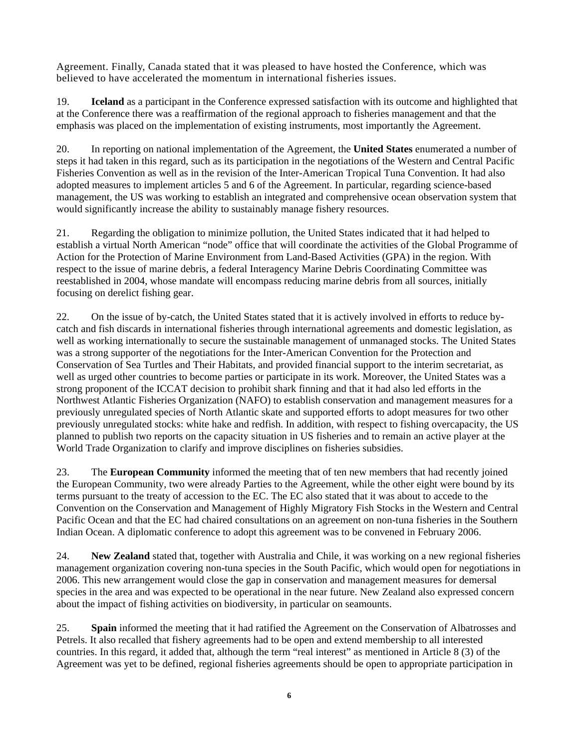Agreement. Finally, Canada stated that it was pleased to have hosted the Conference, which was believed to have accelerated the momentum in international fisheries issues.

19. **Iceland** as a participant in the Conference expressed satisfaction with its outcome and highlighted that at the Conference there was a reaffirmation of the regional approach to fisheries management and that the emphasis was placed on the implementation of existing instruments, most importantly the Agreement.

20. In reporting on national implementation of the Agreement, the **United States** enumerated a number of steps it had taken in this regard, such as its participation in the negotiations of the Western and Central Pacific Fisheries Convention as well as in the revision of the Inter-American Tropical Tuna Convention. It had also adopted measures to implement articles 5 and 6 of the Agreement. In particular, regarding science-based management, the US was working to establish an integrated and comprehensive ocean observation system that would significantly increase the ability to sustainably manage fishery resources.

21. Regarding the obligation to minimize pollution, the United States indicated that it had helped to establish a virtual North American "node" office that will coordinate the activities of the Global Programme of Action for the Protection of Marine Environment from Land-Based Activities (GPA) in the region. With respect to the issue of marine debris, a federal Interagency Marine Debris Coordinating Committee was reestablished in 2004, whose mandate will encompass reducing marine debris from all sources, initially focusing on derelict fishing gear.

22. On the issue of by-catch, the United States stated that it is actively involved in efforts to reduce bycatch and fish discards in international fisheries through international agreements and domestic legislation, as well as working internationally to secure the sustainable management of unmanaged stocks. The United States was a strong supporter of the negotiations for the Inter-American Convention for the Protection and Conservation of Sea Turtles and Their Habitats, and provided financial support to the interim secretariat, as well as urged other countries to become parties or participate in its work. Moreover, the United States was a strong proponent of the ICCAT decision to prohibit shark finning and that it had also led efforts in the Northwest Atlantic Fisheries Organization (NAFO) to establish conservation and management measures for a previously unregulated species of North Atlantic skate and supported efforts to adopt measures for two other previously unregulated stocks: white hake and redfish. In addition, with respect to fishing overcapacity, the US planned to publish two reports on the capacity situation in US fisheries and to remain an active player at the World Trade Organization to clarify and improve disciplines on fisheries subsidies.

23. The **European Community** informed the meeting that of ten new members that had recently joined the European Community, two were already Parties to the Agreement, while the other eight were bound by its terms pursuant to the treaty of accession to the EC. The EC also stated that it was about to accede to the Convention on the Conservation and Management of Highly Migratory Fish Stocks in the Western and Central Pacific Ocean and that the EC had chaired consultations on an agreement on non-tuna fisheries in the Southern Indian Ocean. A diplomatic conference to adopt this agreement was to be convened in February 2006.

24. **New Zealand** stated that, together with Australia and Chile, it was working on a new regional fisheries management organization covering non-tuna species in the South Pacific, which would open for negotiations in 2006. This new arrangement would close the gap in conservation and management measures for demersal species in the area and was expected to be operational in the near future. New Zealand also expressed concern about the impact of fishing activities on biodiversity, in particular on seamounts.

25. **Spain** informed the meeting that it had ratified the Agreement on the Conservation of Albatrosses and Petrels. It also recalled that fishery agreements had to be open and extend membership to all interested countries. In this regard, it added that, although the term "real interest" as mentioned in Article 8 (3) of the Agreement was yet to be defined, regional fisheries agreements should be open to appropriate participation in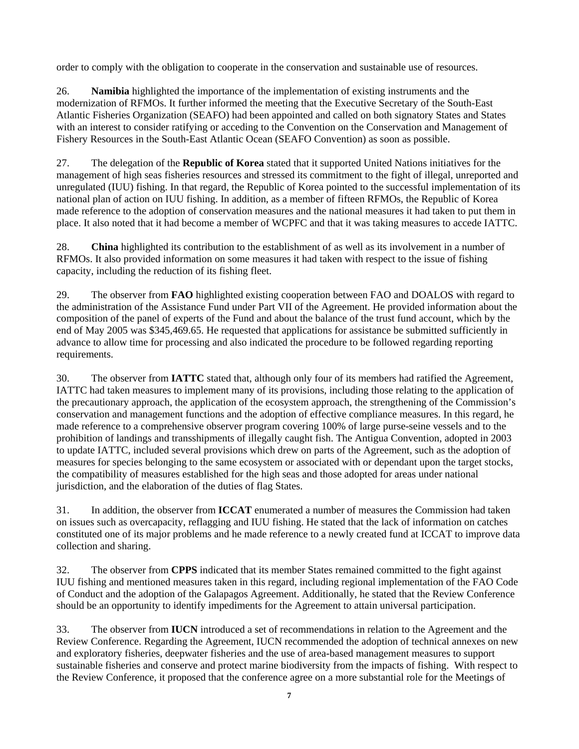order to comply with the obligation to cooperate in the conservation and sustainable use of resources.

26. **Namibia** highlighted the importance of the implementation of existing instruments and the modernization of RFMOs. It further informed the meeting that the Executive Secretary of the South-East Atlantic Fisheries Organization (SEAFO) had been appointed and called on both signatory States and States with an interest to consider ratifying or acceding to the Convention on the Conservation and Management of Fishery Resources in the South-East Atlantic Ocean (SEAFO Convention) as soon as possible.

27. The delegation of the **Republic of Korea** stated that it supported United Nations initiatives for the management of high seas fisheries resources and stressed its commitment to the fight of illegal, unreported and unregulated (IUU) fishing. In that regard, the Republic of Korea pointed to the successful implementation of its national plan of action on IUU fishing. In addition, as a member of fifteen RFMOs, the Republic of Korea made reference to the adoption of conservation measures and the national measures it had taken to put them in place. It also noted that it had become a member of WCPFC and that it was taking measures to accede IATTC.

28. **China** highlighted its contribution to the establishment of as well as its involvement in a number of RFMOs. It also provided information on some measures it had taken with respect to the issue of fishing capacity, including the reduction of its fishing fleet.

29. The observer from **FAO** highlighted existing cooperation between FAO and DOALOS with regard to the administration of the Assistance Fund under Part VII of the Agreement. He provided information about the composition of the panel of experts of the Fund and about the balance of the trust fund account, which by the end of May 2005 was \$345,469.65. He requested that applications for assistance be submitted sufficiently in advance to allow time for processing and also indicated the procedure to be followed regarding reporting requirements.

30. The observer from **IATTC** stated that, although only four of its members had ratified the Agreement, IATTC had taken measures to implement many of its provisions, including those relating to the application of the precautionary approach, the application of the ecosystem approach, the strengthening of the Commission's conservation and management functions and the adoption of effective compliance measures. In this regard, he made reference to a comprehensive observer program covering 100% of large purse-seine vessels and to the prohibition of landings and transshipments of illegally caught fish. The Antigua Convention, adopted in 2003 to update IATTC, included several provisions which drew on parts of the Agreement, such as the adoption of measures for species belonging to the same ecosystem or associated with or dependant upon the target stocks, the compatibility of measures established for the high seas and those adopted for areas under national jurisdiction, and the elaboration of the duties of flag States.

31. In addition, the observer from **ICCAT** enumerated a number of measures the Commission had taken on issues such as overcapacity, reflagging and IUU fishing. He stated that the lack of information on catches constituted one of its major problems and he made reference to a newly created fund at ICCAT to improve data collection and sharing.

32. The observer from **CPPS** indicated that its member States remained committed to the fight against IUU fishing and mentioned measures taken in this regard, including regional implementation of the FAO Code of Conduct and the adoption of the Galapagos Agreement. Additionally, he stated that the Review Conference should be an opportunity to identify impediments for the Agreement to attain universal participation.

33. The observer from **IUCN** introduced a set of recommendations in relation to the Agreement and the Review Conference. Regarding the Agreement, IUCN recommended the adoption of technical annexes on new and exploratory fisheries, deepwater fisheries and the use of area-based management measures to support sustainable fisheries and conserve and protect marine biodiversity from the impacts of fishing. With respect to the Review Conference, it proposed that the conference agree on a more substantial role for the Meetings of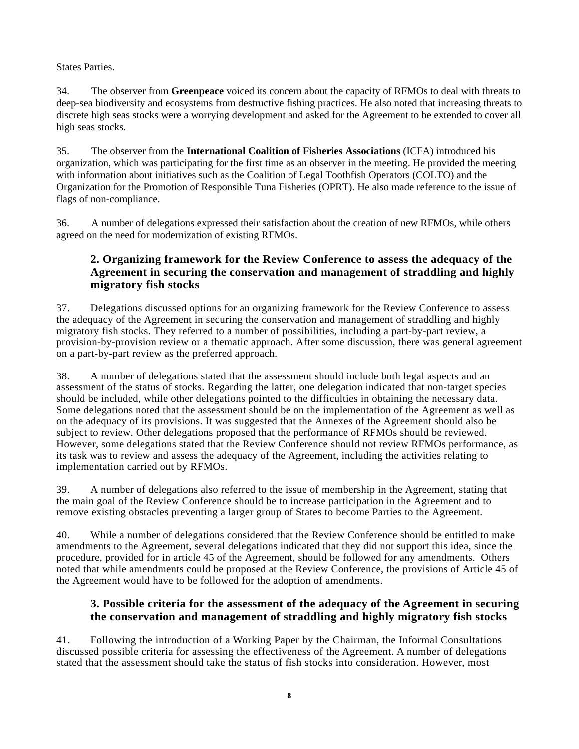States Parties.

34. The observer from **Greenpeace** voiced its concern about the capacity of RFMOs to deal with threats to deep-sea biodiversity and ecosystems from destructive fishing practices. He also noted that increasing threats to discrete high seas stocks were a worrying development and asked for the Agreement to be extended to cover all high seas stocks.

35. The observer from the **International Coalition of Fisheries Associations** (ICFA) introduced his organization, which was participating for the first time as an observer in the meeting. He provided the meeting with information about initiatives such as the Coalition of Legal Toothfish Operators (COLTO) and the Organization for the Promotion of Responsible Tuna Fisheries (OPRT). He also made reference to the issue of flags of non-compliance.

36. A number of delegations expressed their satisfaction about the creation of new RFMOs, while others agreed on the need for modernization of existing RFMOs.

## **2. Organizing framework for the Review Conference to assess the adequacy of the Agreement in securing the conservation and management of straddling and highly migratory fish stocks**

37. Delegations discussed options for an organizing framework for the Review Conference to assess the adequacy of the Agreement in securing the conservation and management of straddling and highly migratory fish stocks. They referred to a number of possibilities, including a part-by-part review, a provision-by-provision review or a thematic approach. After some discussion, there was general agreement on a part-by-part review as the preferred approach.

38. A number of delegations stated that the assessment should include both legal aspects and an assessment of the status of stocks. Regarding the latter, one delegation indicated that non-target species should be included, while other delegations pointed to the difficulties in obtaining the necessary data. Some delegations noted that the assessment should be on the implementation of the Agreement as well as on the adequacy of its provisions. It was suggested that the Annexes of the Agreement should also be subject to review. Other delegations proposed that the performance of RFMOs should be reviewed. However, some delegations stated that the Review Conference should not review RFMOs performance, as its task was to review and assess the adequacy of the Agreement, including the activities relating to implementation carried out by RFMOs.

39. A number of delegations also referred to the issue of membership in the Agreement, stating that the main goal of the Review Conference should be to increase participation in the Agreement and to remove existing obstacles preventing a larger group of States to become Parties to the Agreement.

40. While a number of delegations considered that the Review Conference should be entitled to make amendments to the Agreement, several delegations indicated that they did not support this idea, since the procedure, provided for in article 45 of the Agreement, should be followed for any amendments. Others noted that while amendments could be proposed at the Review Conference, the provisions of Article 45 of the Agreement would have to be followed for the adoption of amendments.

## **3. Possible criteria for the assessment of the adequacy of the Agreement in securing the conservation and management of straddling and highly migratory fish stocks**

41. Following the introduction of a Working Paper by the Chairman, the Informal Consultations discussed possible criteria for assessing the effectiveness of the Agreement. A number of delegations stated that the assessment should take the status of fish stocks into consideration. However, most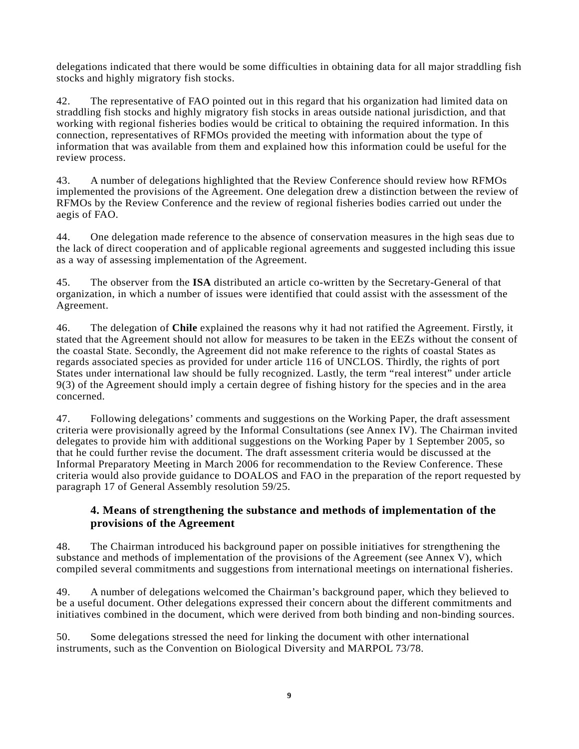delegations indicated that there would be some difficulties in obtaining data for all major straddling fish stocks and highly migratory fish stocks.

42. The representative of FAO pointed out in this regard that his organization had limited data on straddling fish stocks and highly migratory fish stocks in areas outside national jurisdiction, and that working with regional fisheries bodies would be critical to obtaining the required information. In this connection, representatives of RFMOs provided the meeting with information about the type of information that was available from them and explained how this information could be useful for the review process.

43. A number of delegations highlighted that the Review Conference should review how RFMOs implemented the provisions of the Agreement. One delegation drew a distinction between the review of RFMOs by the Review Conference and the review of regional fisheries bodies carried out under the aegis of FAO.

44. One delegation made reference to the absence of conservation measures in the high seas due to the lack of direct cooperation and of applicable regional agreements and suggested including this issue as a way of assessing implementation of the Agreement.

45. The observer from the **ISA** distributed an article co-written by the Secretary-General of that organization, in which a number of issues were identified that could assist with the assessment of the Agreement.

46. The delegation of **Chile** explained the reasons why it had not ratified the Agreement. Firstly, it stated that the Agreement should not allow for measures to be taken in the EEZs without the consent of the coastal State. Secondly, the Agreement did not make reference to the rights of coastal States as regards associated species as provided for under article 116 of UNCLOS. Thirdly, the rights of port States under international law should be fully recognized. Lastly, the term "real interest" under article 9(3) of the Agreement should imply a certain degree of fishing history for the species and in the area concerned.

47. Following delegations' comments and suggestions on the Working Paper, the draft assessment criteria were provisionally agreed by the Informal Consultations (see Annex IV). The Chairman invited delegates to provide him with additional suggestions on the Working Paper by 1 September 2005, so that he could further revise the document. The draft assessment criteria would be discussed at the Informal Preparatory Meeting in March 2006 for recommendation to the Review Conference. These criteria would also provide guidance to DOALOS and FAO in the preparation of the report requested by paragraph 17 of General Assembly resolution 59/25.

## **4. Means of strengthening the substance and methods of implementation of the provisions of the Agreement**

48. The Chairman introduced his background paper on possible initiatives for strengthening the substance and methods of implementation of the provisions of the Agreement (see Annex V), which compiled several commitments and suggestions from international meetings on international fisheries.

49. A number of delegations welcomed the Chairman's background paper, which they believed to be a useful document. Other delegations expressed their concern about the different commitments and initiatives combined in the document, which were derived from both binding and non-binding sources.

50. Some delegations stressed the need for linking the document with other international instruments, such as the Convention on Biological Diversity and MARPOL 73/78.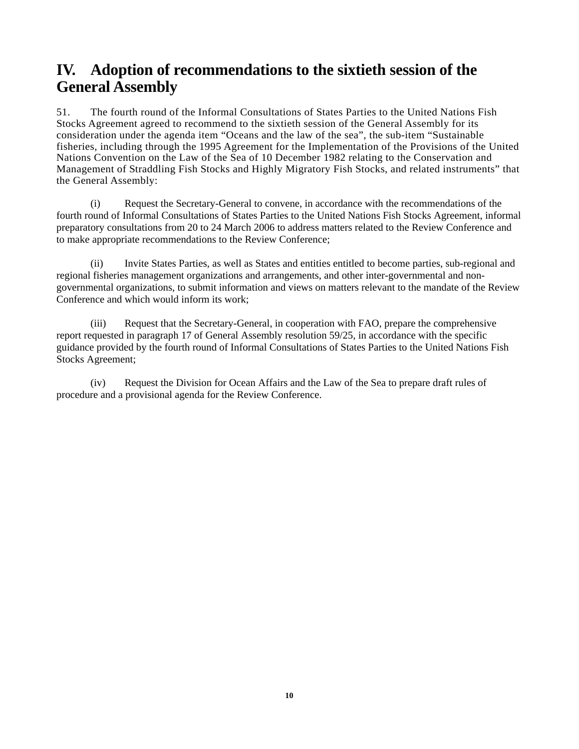# **IV. Adoption of recommendations to the sixtieth session of the General Assembly**

51. The fourth round of the Informal Consultations of States Parties to the United Nations Fish Stocks Agreement agreed to recommend to the sixtieth session of the General Assembly for its consideration under the agenda item "Oceans and the law of the sea", the sub-item "Sustainable fisheries, including through the 1995 Agreement for the Implementation of the Provisions of the United Nations Convention on the Law of the Sea of 10 December 1982 relating to the Conservation and Management of Straddling Fish Stocks and Highly Migratory Fish Stocks, and related instruments" that the General Assembly:

(i) Request the Secretary-General to convene, in accordance with the recommendations of the fourth round of Informal Consultations of States Parties to the United Nations Fish Stocks Agreement, informal preparatory consultations from 20 to 24 March 2006 to address matters related to the Review Conference and to make appropriate recommendations to the Review Conference;

(ii) Invite States Parties, as well as States and entities entitled to become parties, sub-regional and regional fisheries management organizations and arrangements, and other inter-governmental and nongovernmental organizations, to submit information and views on matters relevant to the mandate of the Review Conference and which would inform its work;

(iii) Request that the Secretary-General, in cooperation with FAO, prepare the comprehensive report requested in paragraph 17 of General Assembly resolution 59/25, in accordance with the specific guidance provided by the fourth round of Informal Consultations of States Parties to the United Nations Fish Stocks Agreement;

(iv) Request the Division for Ocean Affairs and the Law of the Sea to prepare draft rules of procedure and a provisional agenda for the Review Conference.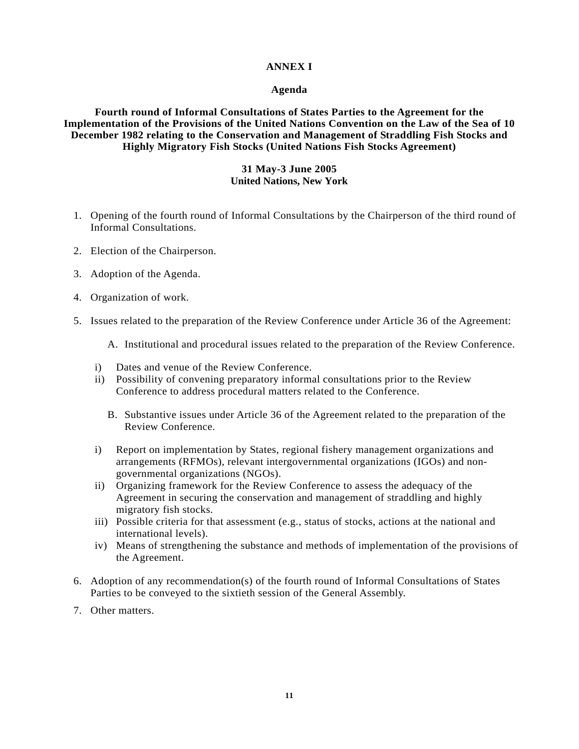#### **ANNEX I**

#### **Agenda**

**Fourth round of Informal Consultations of States Parties to the Agreement for the Implementation of the Provisions of the United Nations Convention on the Law of the Sea of 10 December 1982 relating to the Conservation and Management of Straddling Fish Stocks and Highly Migratory Fish Stocks (United Nations Fish Stocks Agreement)** 

#### **31 May-3 June 2005 United Nations, New York**

- 1. Opening of the fourth round of Informal Consultations by the Chairperson of the third round of Informal Consultations.
- 2. Election of the Chairperson.
- 3. Adoption of the Agenda.
- 4. Organization of work.
- 5. Issues related to the preparation of the Review Conference under Article 36 of the Agreement:

A. Institutional and procedural issues related to the preparation of the Review Conference.

- i) Dates and venue of the Review Conference.
- ii) Possibility of convening preparatory informal consultations prior to the Review Conference to address procedural matters related to the Conference.
	- B. Substantive issues under Article 36 of the Agreement related to the preparation of the Review Conference.
- i) Report on implementation by States, regional fishery management organizations and arrangements (RFMOs), relevant intergovernmental organizations (IGOs) and nongovernmental organizations (NGOs).
- ii) Organizing framework for the Review Conference to assess the adequacy of the Agreement in securing the conservation and management of straddling and highly migratory fish stocks.
- iii) Possible criteria for that assessment (e.g., status of stocks, actions at the national and international levels).
- iv) Means of strengthening the substance and methods of implementation of the provisions of the Agreement.
- 6. Adoption of any recommendation(s) of the fourth round of Informal Consultations of States Parties to be conveyed to the sixtieth session of the General Assembly.
- 7. Other matters.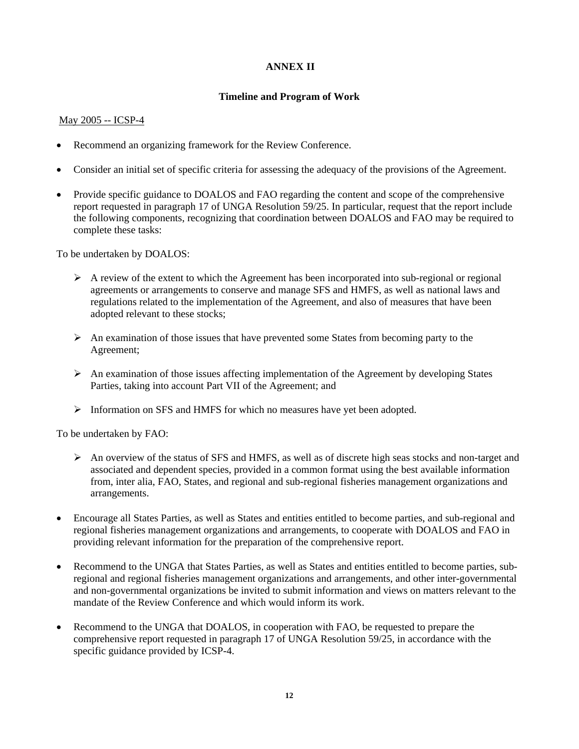### **ANNEX II**

### **Timeline and Program of Work**

#### May 2005 -- ICSP-4

- Recommend an organizing framework for the Review Conference.
- Consider an initial set of specific criteria for assessing the adequacy of the provisions of the Agreement.
- Provide specific guidance to DOALOS and FAO regarding the content and scope of the comprehensive report requested in paragraph 17 of UNGA Resolution 59/25. In particular, request that the report include the following components, recognizing that coordination between DOALOS and FAO may be required to complete these tasks:

To be undertaken by DOALOS:

- $\triangleright$  A review of the extent to which the Agreement has been incorporated into sub-regional or regional agreements or arrangements to conserve and manage SFS and HMFS, as well as national laws and regulations related to the implementation of the Agreement, and also of measures that have been adopted relevant to these stocks;
- ¾ An examination of those issues that have prevented some States from becoming party to the Agreement;
- $\triangleright$  An examination of those issues affecting implementation of the Agreement by developing States Parties, taking into account Part VII of the Agreement; and
- ¾ Information on SFS and HMFS for which no measures have yet been adopted.

To be undertaken by FAO:

- ¾ An overview of the status of SFS and HMFS, as well as of discrete high seas stocks and non-target and associated and dependent species, provided in a common format using the best available information from, inter alia, FAO, States, and regional and sub-regional fisheries management organizations and arrangements.
- Encourage all States Parties, as well as States and entities entitled to become parties, and sub-regional and regional fisheries management organizations and arrangements, to cooperate with DOALOS and FAO in providing relevant information for the preparation of the comprehensive report.
- Recommend to the UNGA that States Parties, as well as States and entities entitled to become parties, subregional and regional fisheries management organizations and arrangements, and other inter-governmental and non-governmental organizations be invited to submit information and views on matters relevant to the mandate of the Review Conference and which would inform its work.
- Recommend to the UNGA that DOALOS, in cooperation with FAO, be requested to prepare the comprehensive report requested in paragraph 17 of UNGA Resolution 59/25, in accordance with the specific guidance provided by ICSP-4.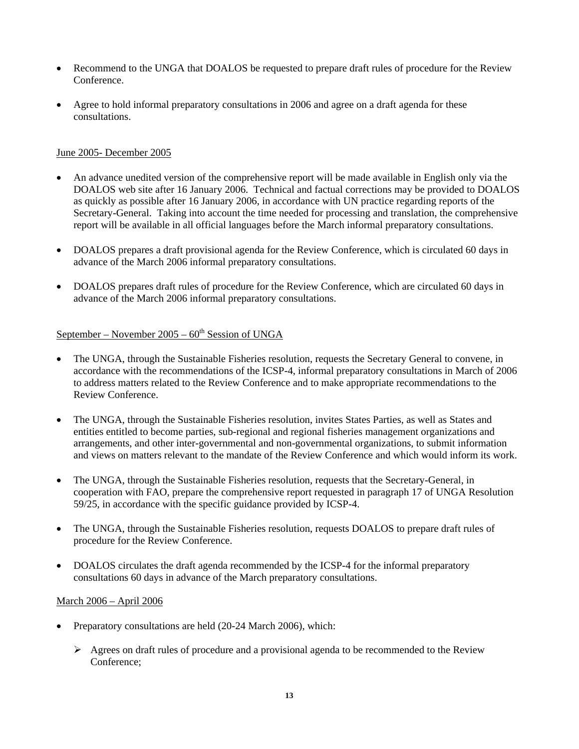- Recommend to the UNGA that DOALOS be requested to prepare draft rules of procedure for the Review Conference.
- Agree to hold informal preparatory consultations in 2006 and agree on a draft agenda for these consultations.

#### June 2005- December 2005

- An advance unedited version of the comprehensive report will be made available in English only via the DOALOS web site after 16 January 2006. Technical and factual corrections may be provided to DOALOS as quickly as possible after 16 January 2006, in accordance with UN practice regarding reports of the Secretary-General. Taking into account the time needed for processing and translation, the comprehensive report will be available in all official languages before the March informal preparatory consultations.
- DOALOS prepares a draft provisional agenda for the Review Conference, which is circulated 60 days in advance of the March 2006 informal preparatory consultations.
- DOALOS prepares draft rules of procedure for the Review Conference, which are circulated 60 days in advance of the March 2006 informal preparatory consultations.

### September – November  $2005 - 60<sup>th</sup>$  Session of UNGA

- The UNGA, through the Sustainable Fisheries resolution, requests the Secretary General to convene, in accordance with the recommendations of the ICSP-4, informal preparatory consultations in March of 2006 to address matters related to the Review Conference and to make appropriate recommendations to the Review Conference.
- The UNGA, through the Sustainable Fisheries resolution, invites States Parties, as well as States and entities entitled to become parties, sub-regional and regional fisheries management organizations and arrangements, and other inter-governmental and non-governmental organizations, to submit information and views on matters relevant to the mandate of the Review Conference and which would inform its work.
- The UNGA, through the Sustainable Fisheries resolution, requests that the Secretary-General, in cooperation with FAO, prepare the comprehensive report requested in paragraph 17 of UNGA Resolution 59/25, in accordance with the specific guidance provided by ICSP-4.
- The UNGA, through the Sustainable Fisheries resolution, requests DOALOS to prepare draft rules of procedure for the Review Conference.
- DOALOS circulates the draft agenda recommended by the ICSP-4 for the informal preparatory consultations 60 days in advance of the March preparatory consultations.

### March 2006 – April 2006

- Preparatory consultations are held (20-24 March 2006), which:
	- $\triangleright$  Agrees on draft rules of procedure and a provisional agenda to be recommended to the Review Conference;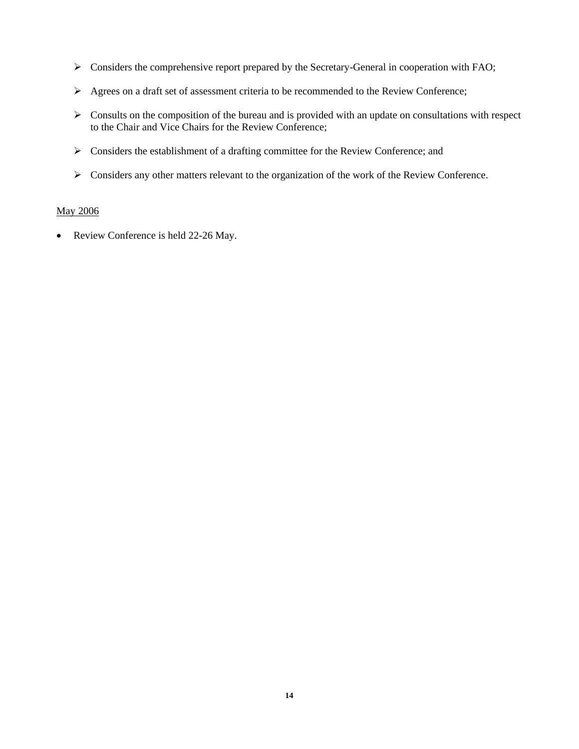- $\triangleright$  Considers the comprehensive report prepared by the Secretary-General in cooperation with FAO;
- ¾ Agrees on a draft set of assessment criteria to be recommended to the Review Conference;
- $\triangleright$  Consults on the composition of the bureau and is provided with an update on consultations with respect to the Chair and Vice Chairs for the Review Conference;
- ¾ Considers the establishment of a drafting committee for the Review Conference; and
- ¾ Considers any other matters relevant to the organization of the work of the Review Conference.

#### May 2006

• Review Conference is held 22-26 May.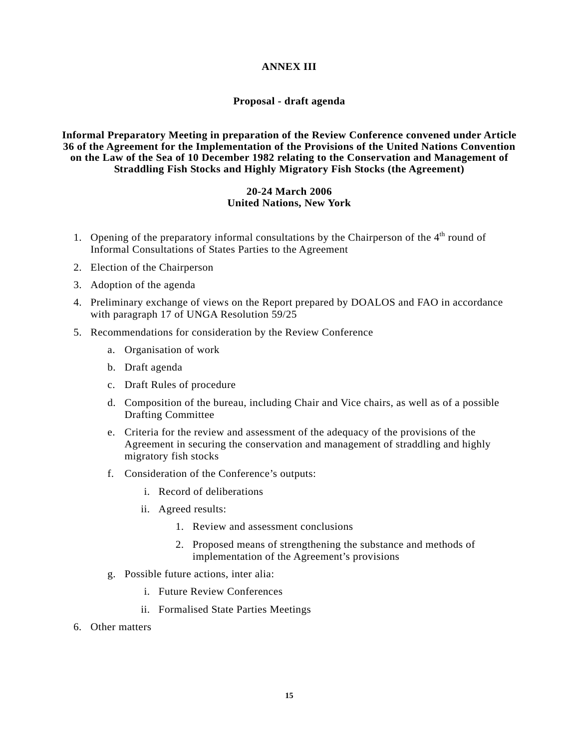#### **ANNEX III**

#### **Proposal - draft agenda**

#### **Informal Preparatory Meeting in preparation of the Review Conference convened under Article 36 of the Agreement for the Implementation of the Provisions of the United Nations Convention on the Law of the Sea of 10 December 1982 relating to the Conservation and Management of Straddling Fish Stocks and Highly Migratory Fish Stocks (the Agreement)**

#### **20-24 March 2006 United Nations, New York**

- 1. Opening of the preparatory informal consultations by the Chairperson of the 4<sup>th</sup> round of Informal Consultations of States Parties to the Agreement
- 2. Election of the Chairperson
- 3. Adoption of the agenda
- 4. Preliminary exchange of views on the Report prepared by DOALOS and FAO in accordance with paragraph 17 of UNGA Resolution 59/25
- 5. Recommendations for consideration by the Review Conference
	- a. Organisation of work
	- b. Draft agenda
	- c. Draft Rules of procedure
	- d. Composition of the bureau, including Chair and Vice chairs, as well as of a possible Drafting Committee
	- e. Criteria for the review and assessment of the adequacy of the provisions of the Agreement in securing the conservation and management of straddling and highly migratory fish stocks
	- f. Consideration of the Conference's outputs:
		- i. Record of deliberations
		- ii. Agreed results:
			- 1. Review and assessment conclusions
			- 2. Proposed means of strengthening the substance and methods of implementation of the Agreement's provisions
	- g. Possible future actions, inter alia:
		- i. Future Review Conferences
		- ii. Formalised State Parties Meetings
- 6. Other matters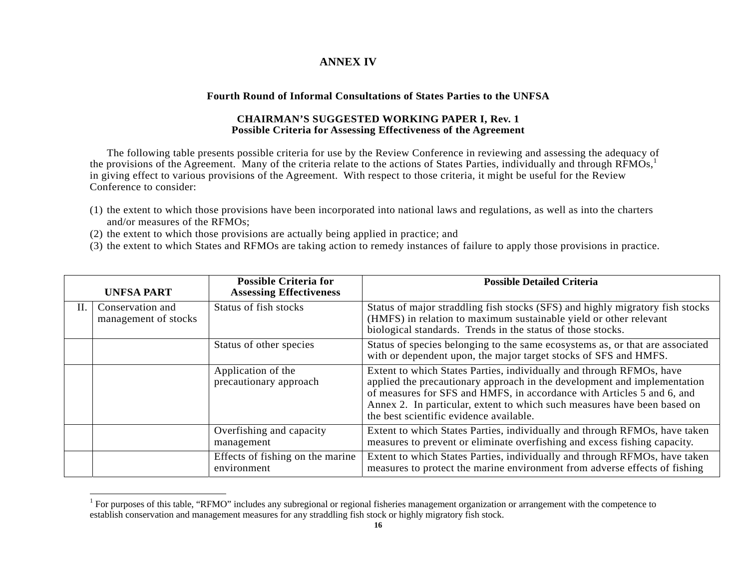### **ANNEX IV**

#### **Fourth Round of Informal Consultations of States Parties to the UNFSA**

#### **CHAIRMAN'S SUGGESTED WORKING PAPER I, Rev. 1 Possible Criteria for Assessing Effectiveness of the Agreement**

The following table presents possible criteria for use by the Review Conference in reviewing and assessing the adequacy of the provisions of the Agreement. Many of the criteria relate to the actions of States Parties, individually and through RFMOs,<sup>1</sup> in giving effect to various provisions of the Agreement. With respect to those criteria, it might be useful for the Review Conference to consider:

- (1) the extent to which those provisions have been incorporated into national laws and regulations, as well as into the charters and/or measures of the RFMOs;
- (2) the extent to which those provisions are actually being applied in practice; and
- (3) the extent to which States and RFMOs are taking action to remedy instances of failure to apply those provisions in practice.

|    | <b>UNFSA PART</b>                        | <b>Possible Criteria for</b><br><b>Assessing Effectiveness</b> | <b>Possible Detailed Criteria</b>                                                                                                                                                                                                                                                                                                                 |
|----|------------------------------------------|----------------------------------------------------------------|---------------------------------------------------------------------------------------------------------------------------------------------------------------------------------------------------------------------------------------------------------------------------------------------------------------------------------------------------|
| H. | Conservation and<br>management of stocks | Status of fish stocks                                          | Status of major straddling fish stocks (SFS) and highly migratory fish stocks<br>(HMFS) in relation to maximum sustainable yield or other relevant<br>biological standards. Trends in the status of those stocks.                                                                                                                                 |
|    |                                          | Status of other species                                        | Status of species belonging to the same ecosystems as, or that are associated<br>with or dependent upon, the major target stocks of SFS and HMFS.                                                                                                                                                                                                 |
|    |                                          | Application of the<br>precautionary approach                   | Extent to which States Parties, individually and through RFMOs, have<br>applied the precautionary approach in the development and implementation<br>of measures for SFS and HMFS, in accordance with Articles 5 and 6, and<br>Annex 2. In particular, extent to which such measures have been based on<br>the best scientific evidence available. |
|    |                                          | Overfishing and capacity<br>management                         | Extent to which States Parties, individually and through RFMOs, have taken<br>measures to prevent or eliminate overfishing and excess fishing capacity.                                                                                                                                                                                           |
|    |                                          | Effects of fishing on the marine<br>environment                | Extent to which States Parties, individually and through RFMOs, have taken<br>measures to protect the marine environment from adverse effects of fishing                                                                                                                                                                                          |

<sup>&</sup>lt;sup>1</sup> For purposes of this table, "RFMO" includes any subregional or regional fisheries management organization or arrangement with the competence to establish conservation and management measures for any straddling fish stock or highly migratory fish stock.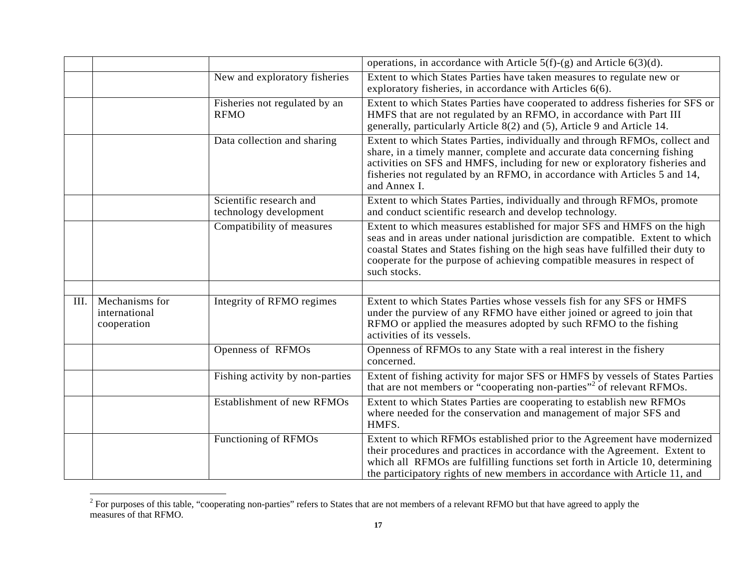|      |                                                |                                                   | operations, in accordance with Article $5(f)-(g)$ and Article $6(3)(d)$ .                                                                                                                                                                                                                                                               |
|------|------------------------------------------------|---------------------------------------------------|-----------------------------------------------------------------------------------------------------------------------------------------------------------------------------------------------------------------------------------------------------------------------------------------------------------------------------------------|
|      |                                                | New and exploratory fisheries                     | Extent to which States Parties have taken measures to regulate new or<br>exploratory fisheries, in accordance with Articles 6(6).                                                                                                                                                                                                       |
|      |                                                | Fisheries not regulated by an<br><b>RFMO</b>      | Extent to which States Parties have cooperated to address fisheries for SFS or<br>HMFS that are not regulated by an RFMO, in accordance with Part III<br>generally, particularly Article 8(2) and (5), Article 9 and Article 14.                                                                                                        |
|      |                                                | Data collection and sharing                       | Extent to which States Parties, individually and through RFMOs, collect and<br>share, in a timely manner, complete and accurate data concerning fishing<br>activities on SFS and HMFS, including for new or exploratory fisheries and<br>fisheries not regulated by an RFMO, in accordance with Articles 5 and 14,<br>and Annex I.      |
|      |                                                | Scientific research and<br>technology development | Extent to which States Parties, individually and through RFMOs, promote<br>and conduct scientific research and develop technology.                                                                                                                                                                                                      |
|      |                                                | Compatibility of measures                         | Extent to which measures established for major SFS and HMFS on the high<br>seas and in areas under national jurisdiction are compatible. Extent to which<br>coastal States and States fishing on the high seas have fulfilled their duty to<br>cooperate for the purpose of achieving compatible measures in respect of<br>such stocks. |
|      |                                                |                                                   |                                                                                                                                                                                                                                                                                                                                         |
| III. | Mechanisms for<br>international<br>cooperation | Integrity of RFMO regimes                         | Extent to which States Parties whose vessels fish for any SFS or HMFS<br>under the purview of any RFMO have either joined or agreed to join that<br>RFMO or applied the measures adopted by such RFMO to the fishing<br>activities of its vessels.                                                                                      |
|      |                                                | Openness of RFMOs                                 | Openness of RFMOs to any State with a real interest in the fishery<br>concerned.                                                                                                                                                                                                                                                        |
|      |                                                | Fishing activity by non-parties                   | Extent of fishing activity for major SFS or HMFS by vessels of States Parties<br>that are not members or "cooperating non-parties" <sup>2</sup> of relevant RFMOs.                                                                                                                                                                      |
|      |                                                | Establishment of new RFMOs                        | Extent to which States Parties are cooperating to establish new RFMOs<br>where needed for the conservation and management of major SFS and<br>HMFS.                                                                                                                                                                                     |
|      |                                                | Functioning of RFMOs                              | Extent to which RFMOs established prior to the Agreement have modernized<br>their procedures and practices in accordance with the Agreement. Extent to<br>which all RFMOs are fulfilling functions set forth in Article 10, determining<br>the participatory rights of new members in accordance with Article 11, and                   |

 $\frac{1}{2}$  For purposes of this table, "cooperating non-parties" refers to States that are not members of a relevant RFMO but that have agreed to apply the measures of that RFMO.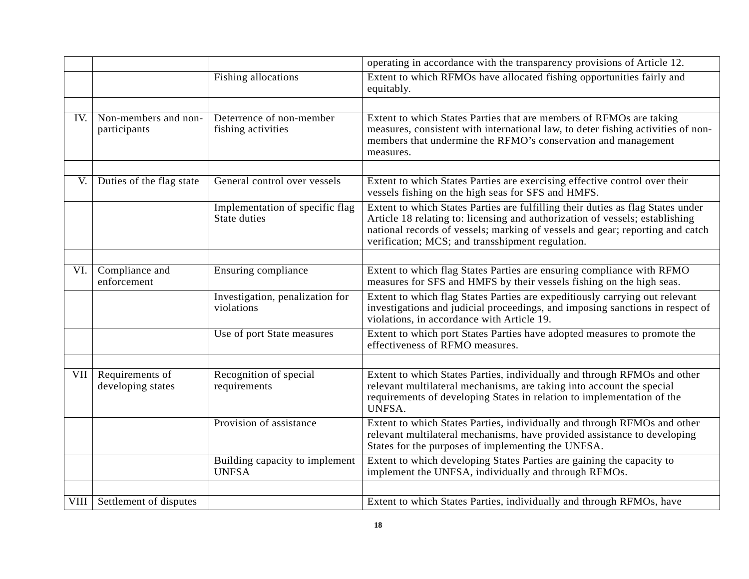|      |                                      |                                                 | operating in accordance with the transparency provisions of Article 12.                                                                                                                                                                                                                              |
|------|--------------------------------------|-------------------------------------------------|------------------------------------------------------------------------------------------------------------------------------------------------------------------------------------------------------------------------------------------------------------------------------------------------------|
|      |                                      | Fishing allocations                             | Extent to which RFMOs have allocated fishing opportunities fairly and<br>equitably.                                                                                                                                                                                                                  |
|      |                                      |                                                 |                                                                                                                                                                                                                                                                                                      |
| IV.  | Non-members and non-<br>participants | Deterrence of non-member<br>fishing activities  | Extent to which States Parties that are members of RFMOs are taking<br>measures, consistent with international law, to deter fishing activities of non-<br>members that undermine the RFMO's conservation and management<br>measures.                                                                |
|      |                                      |                                                 |                                                                                                                                                                                                                                                                                                      |
| V.   | Duties of the flag state             | General control over vessels                    | Extent to which States Parties are exercising effective control over their<br>vessels fishing on the high seas for SFS and HMFS.                                                                                                                                                                     |
|      |                                      | Implementation of specific flag<br>State duties | Extent to which States Parties are fulfilling their duties as flag States under<br>Article 18 relating to: licensing and authorization of vessels; establishing<br>national records of vessels; marking of vessels and gear; reporting and catch<br>verification; MCS; and transshipment regulation. |
|      |                                      |                                                 |                                                                                                                                                                                                                                                                                                      |
| VI.  | Compliance and<br>enforcement        | Ensuring compliance                             | Extent to which flag States Parties are ensuring compliance with RFMO<br>measures for SFS and HMFS by their vessels fishing on the high seas.                                                                                                                                                        |
|      |                                      | Investigation, penalization for<br>violations   | Extent to which flag States Parties are expeditiously carrying out relevant<br>investigations and judicial proceedings, and imposing sanctions in respect of<br>violations, in accordance with Article 19.                                                                                           |
|      |                                      | Use of port State measures                      | Extent to which port States Parties have adopted measures to promote the<br>effectiveness of RFMO measures.                                                                                                                                                                                          |
|      |                                      |                                                 |                                                                                                                                                                                                                                                                                                      |
| VII  | Requirements of<br>developing states | Recognition of special<br>requirements          | Extent to which States Parties, individually and through RFMOs and other<br>relevant multilateral mechanisms, are taking into account the special<br>requirements of developing States in relation to implementation of the<br>UNFSA.                                                                |
|      |                                      | Provision of assistance                         | Extent to which States Parties, individually and through RFMOs and other<br>relevant multilateral mechanisms, have provided assistance to developing<br>States for the purposes of implementing the UNFSA.                                                                                           |
|      |                                      | Building capacity to implement<br><b>UNFSA</b>  | Extent to which developing States Parties are gaining the capacity to<br>implement the UNFSA, individually and through RFMOs.                                                                                                                                                                        |
|      |                                      |                                                 |                                                                                                                                                                                                                                                                                                      |
| VIII | Settlement of disputes               |                                                 | Extent to which States Parties, individually and through RFMOs, have                                                                                                                                                                                                                                 |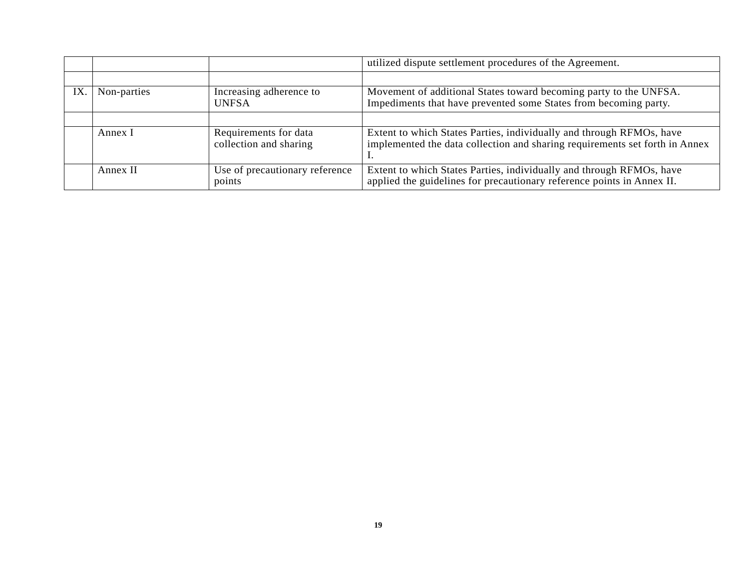|     |             |                                                 | utilized dispute settlement procedures of the Agreement.                                                                                            |  |
|-----|-------------|-------------------------------------------------|-----------------------------------------------------------------------------------------------------------------------------------------------------|--|
|     |             |                                                 |                                                                                                                                                     |  |
| IX. | Non-parties | Increasing adherence to<br><b>UNFSA</b>         | Movement of additional States toward becoming party to the UNFSA.<br>Impediments that have prevented some States from becoming party.               |  |
|     |             |                                                 |                                                                                                                                                     |  |
|     | Annex I     | Requirements for data<br>collection and sharing | Extent to which States Parties, individually and through RFMOs, have<br>implemented the data collection and sharing requirements set forth in Annex |  |
|     | Annex II    | Use of precautionary reference<br>points        | Extent to which States Parties, individually and through RFMOs, have<br>applied the guidelines for precautionary reference points in Annex II.      |  |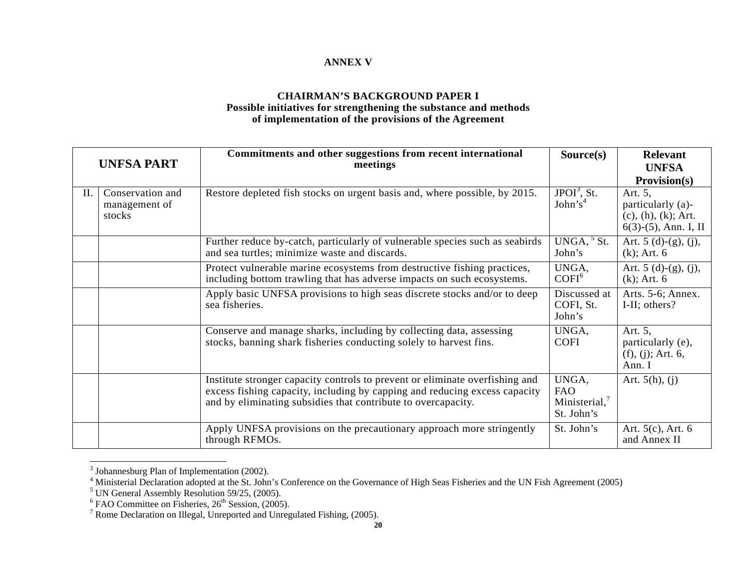### **ANNEX V**

#### **CHAIRMAN'S BACKGROUND PAPER I Possible initiatives for strengthening the substance and methods of implementation of the provisions of the Agreement**

| <b>UNFSA PART</b> |                                             | Commitments and other suggestions from recent international<br>meetings                                                                                                                                                     | Source(s)                                         | <b>Relevant</b><br><b>UNFSA</b><br><b>Provision(s)</b>                            |
|-------------------|---------------------------------------------|-----------------------------------------------------------------------------------------------------------------------------------------------------------------------------------------------------------------------------|---------------------------------------------------|-----------------------------------------------------------------------------------|
| II.               | Conservation and<br>management of<br>stocks | Restore depleted fish stocks on urgent basis and, where possible, by 2015.                                                                                                                                                  | $JPOI3$ , St.<br>John's <sup>4</sup>              | Art. 5,<br>particularly (a)-<br>$(c), (h), (k)$ ; Art.<br>$6(3)-(5)$ , Ann. I, II |
|                   |                                             | Further reduce by-catch, particularly of vulnerable species such as seabirds<br>and sea turtles; minimize waste and discards.                                                                                               | $UNGA, \frac{5}{5}$ St.<br>John's                 | Art. $5(d)-(g), (j),$<br>$(k)$ ; Art. 6                                           |
|                   |                                             | Protect vulnerable marine ecosystems from destructive fishing practices,<br>including bottom trawling that has adverse impacts on such ecosystems.                                                                          | UNGA,<br>COFI <sup>6</sup>                        | Art. $5(d)-(g), (j),$<br>$(k)$ ; Art. 6                                           |
|                   |                                             | Apply basic UNFSA provisions to high seas discrete stocks and/or to deep<br>sea fisheries.                                                                                                                                  | Discussed at<br>COFI, St.<br>John's               | Arts. 5-6; Annex.<br>I-II; others?                                                |
|                   |                                             | Conserve and manage sharks, including by collecting data, assessing<br>stocks, banning shark fisheries conducting solely to harvest fins.                                                                                   | UNGA,<br><b>COFI</b>                              | Art. 5,<br>particularly (e),<br>(f), (j); Art. 6,<br>Ann. I                       |
|                   |                                             | Institute stronger capacity controls to prevent or eliminate overfishing and<br>excess fishing capacity, including by capping and reducing excess capacity<br>and by eliminating subsidies that contribute to overcapacity. | UNGA,<br><b>FAO</b><br>Ministerial,<br>St. John's | Art. $5(h)$ , (j)                                                                 |
|                   |                                             | Apply UNFSA provisions on the precautionary approach more stringently<br>through RFMOs.                                                                                                                                     | St. John's                                        | Art. $5(c)$ , Art. $6$<br>and Annex II                                            |

 $3$  Johannesburg Plan of Implementation (2002).

 $4$  Ministerial Declaration adopted at the St. John's Conference on the Governance of High Seas Fisheries and the UN Fish Agreement (2005)

 $<sup>5</sup>$  UN General Assembly Resolution 59/25, (2005).</sup>

 $6$  FAO Committee on Fisheries,  $26<sup>th</sup>$  Session, (2005).

<sup>&</sup>lt;sup>7</sup> Rome Declaration on Illegal, Unreported and Unregulated Fishing, (2005).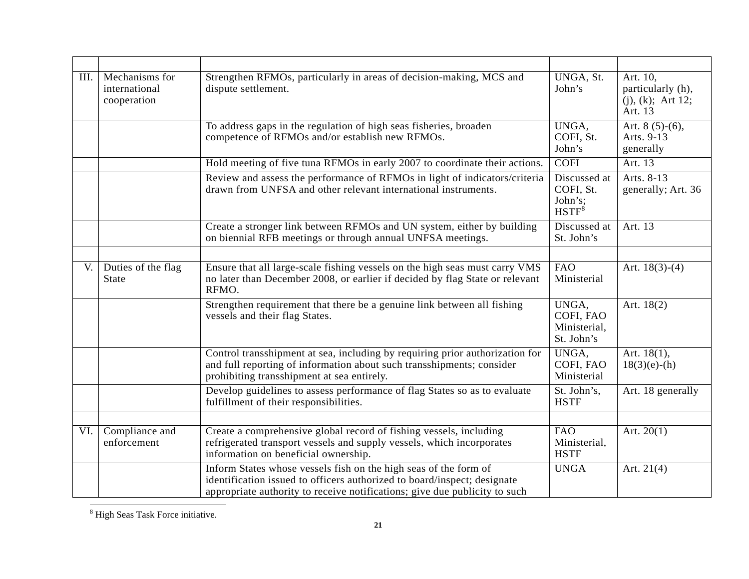| III. | Mechanisms for<br>international<br>cooperation | Strengthen RFMOs, particularly in areas of decision-making, MCS and<br>dispute settlement.                                                                                                                                 | UNGA, St.<br>John's                              | Art. 10,<br>particularly (h),<br>$(i)$ , $(k)$ ; Art 12;<br>Art. 13 |
|------|------------------------------------------------|----------------------------------------------------------------------------------------------------------------------------------------------------------------------------------------------------------------------------|--------------------------------------------------|---------------------------------------------------------------------|
|      |                                                | To address gaps in the regulation of high seas fisheries, broaden<br>competence of RFMOs and/or establish new RFMOs.                                                                                                       | UNGA,<br>COFI, St.<br>John's                     | Art. $8(5)-(6)$ ,<br>Arts. 9-13<br>generally                        |
|      |                                                | Hold meeting of five tuna RFMOs in early 2007 to coordinate their actions.                                                                                                                                                 | <b>COFI</b>                                      | Art. 13                                                             |
|      |                                                | Review and assess the performance of RFMOs in light of indicators/criteria<br>drawn from UNFSA and other relevant international instruments.                                                                               | Discussed at<br>COFI, St.<br>John's;<br>$HSTF^8$ | Arts. 8-13<br>generally; Art. 36                                    |
|      |                                                | Create a stronger link between RFMOs and UN system, either by building<br>on biennial RFB meetings or through annual UNFSA meetings.                                                                                       | Discussed at<br>St. John's                       | Art. 13                                                             |
| V.   | Duties of the flag<br><b>State</b>             | Ensure that all large-scale fishing vessels on the high seas must carry VMS<br>no later than December 2008, or earlier if decided by flag State or relevant<br>RFMO.                                                       | <b>FAO</b><br>Ministerial                        | Art. $18(3)-(4)$                                                    |
|      |                                                | Strengthen requirement that there be a genuine link between all fishing<br>vessels and their flag States.                                                                                                                  | UNGA,<br>COFI, FAO<br>Ministerial,<br>St. John's | Art. $18(2)$                                                        |
|      |                                                | Control transshipment at sea, including by requiring prior authorization for<br>and full reporting of information about such transshipments; consider<br>prohibiting transshipment at sea entirely.                        | UNGA.<br>COFI, FAO<br>Ministerial                | Art. $18(1)$ ,<br>$18(3)(e)$ -(h)                                   |
|      |                                                | Develop guidelines to assess performance of flag States so as to evaluate<br>fulfillment of their responsibilities.                                                                                                        | St. John's,<br><b>HSTF</b>                       | Art. 18 generally                                                   |
| VI.  | Compliance and<br>enforcement                  | Create a comprehensive global record of fishing vessels, including<br>refrigerated transport vessels and supply vessels, which incorporates<br>information on beneficial ownership.                                        | <b>FAO</b><br>Ministerial,<br><b>HSTF</b>        | Art. $20(1)$                                                        |
|      |                                                | Inform States whose vessels fish on the high seas of the form of<br>identification issued to officers authorized to board/inspect; designate<br>appropriate authority to receive notifications; give due publicity to such | <b>UNGA</b>                                      | Art. $21(4)$                                                        |

 $8$  High Seas Task Force initiative.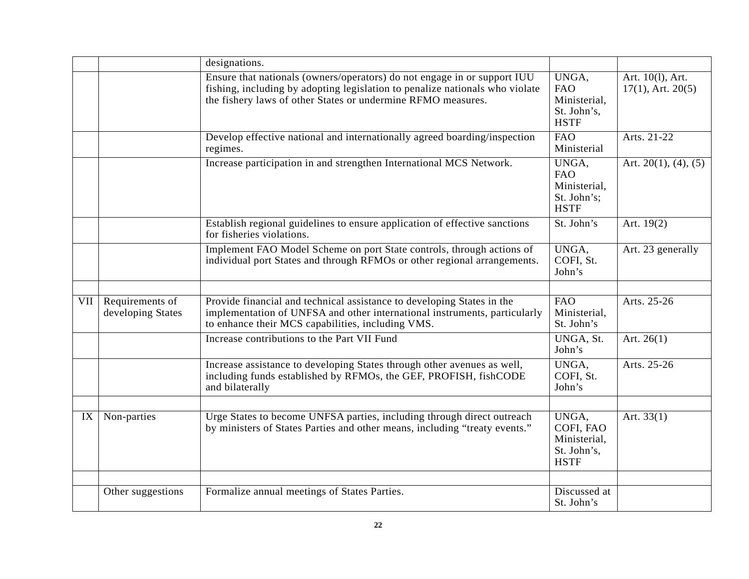|     |                                      | designations.                                                                                                                                                                                                            |                                                                   |                                            |
|-----|--------------------------------------|--------------------------------------------------------------------------------------------------------------------------------------------------------------------------------------------------------------------------|-------------------------------------------------------------------|--------------------------------------------|
|     |                                      | Ensure that nationals (owners/operators) do not engage in or support IUU<br>fishing, including by adopting legislation to penalize nationals who violate<br>the fishery laws of other States or undermine RFMO measures. | UNGA,<br><b>FAO</b><br>Ministerial,<br>St. John's,<br><b>HSTF</b> | Art. 10(1), Art.<br>$17(1)$ , Art. $20(5)$ |
|     |                                      | Develop effective national and internationally agreed boarding/inspection<br>regimes.                                                                                                                                    | <b>FAO</b><br>Ministerial                                         | Arts. 21-22                                |
|     |                                      | Increase participation in and strengthen International MCS Network.                                                                                                                                                      | UNGA,<br><b>FAO</b><br>Ministerial,<br>St. John's;<br><b>HSTF</b> | Art. $20(1)$ , $(4)$ , $(5)$               |
|     |                                      | Establish regional guidelines to ensure application of effective sanctions<br>for fisheries violations.                                                                                                                  | $\overline{St}$ . John's                                          | Art. $19(2)$                               |
|     |                                      | Implement FAO Model Scheme on port State controls, through actions of<br>individual port States and through RFMOs or other regional arrangements.                                                                        | UNGA,<br>COFI, St.<br>John's                                      | Art. 23 generally                          |
| VII | Requirements of<br>developing States | Provide financial and technical assistance to developing States in the<br>implementation of UNFSA and other international instruments, particularly<br>to enhance their MCS capabilities, including VMS.                 | <b>FAO</b><br>Ministerial,<br>St. John's                          | Arts. 25-26                                |
|     |                                      | Increase contributions to the Part VII Fund                                                                                                                                                                              | UNGA, St.<br>John's                                               | Art. $26(1)$                               |
|     |                                      | Increase assistance to developing States through other avenues as well,<br>including funds established by RFMOs, the GEF, PROFISH, fishCODE<br>and bilaterally                                                           | UNGA,<br>COFI, St.<br>John's                                      | Arts. 25-26                                |
| IX  | Non-parties                          | Urge States to become UNFSA parties, including through direct outreach<br>by ministers of States Parties and other means, including "treaty events."                                                                     | UNGA,<br>COFI, FAO<br>Ministerial,<br>St. John's,<br><b>HSTF</b>  | Art. $33(1)$                               |
|     | Other suggestions                    | Formalize annual meetings of States Parties.                                                                                                                                                                             | Discussed at<br>St. John's                                        |                                            |